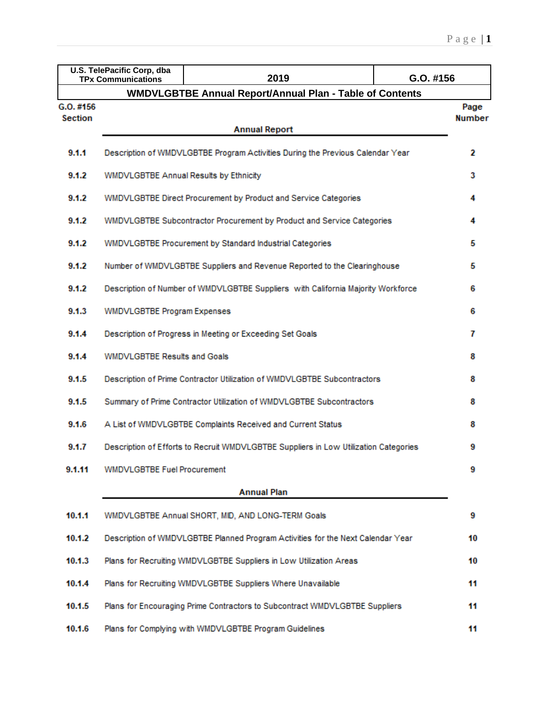|                | U.S. TelePacific Corp, dba<br><b>TPx Communications</b> | 2019                                                                                 | G.O. #156     |
|----------------|---------------------------------------------------------|--------------------------------------------------------------------------------------|---------------|
|                |                                                         | <b>WMDVLGBTBE Annual Report/Annual Plan - Table of Contents</b>                      |               |
| G.O. #156      |                                                         |                                                                                      | Page          |
| <b>Section</b> |                                                         | <b>Annual Report</b>                                                                 | <b>Number</b> |
|                |                                                         |                                                                                      |               |
| 9.1.1          |                                                         | Description of WMDVLGBTBE Program Activities During the Previous Calendar Year       | 2             |
| 9.1.2          | WMDVLGBTBE Annual Results by Ethnicity                  |                                                                                      | 3             |
| 9.1.2          |                                                         | WMDVLGBTBE Direct Procurement by Product and Service Categories                      | 4             |
| 9.1.2          |                                                         | WMDVLGBTBE Subcontractor Procurement by Product and Service Categories               | 4             |
| 9.1.2          |                                                         | WMDVLGBTBE Procurement by Standard Industrial Categories                             | 5             |
| 9.1.2          |                                                         | Number of WMDVLGBTBE Suppliers and Revenue Reported to the Clearinghouse             | 5             |
| 9.1.2          |                                                         | Description of Number of WMDVLGBTBE Suppliers with California Majority Workforce     | 6             |
| 9.1.3          | <b>WMDVLGBTBE Program Expenses</b>                      |                                                                                      | 6             |
| 9.1.4          |                                                         | Description of Progress in Meeting or Exceeding Set Goals                            | 7             |
| 9.1.4          | <b>WMDVLGBTBE Results and Goals</b>                     |                                                                                      | 8             |
| 9.1.5          |                                                         | Description of Prime Contractor Utilization of WMDVLGBTBE Subcontractors             | 8             |
| 9.1.5          |                                                         | Summary of Prime Contractor Utilization of WMDVLGBTBE Subcontractors                 | 8             |
| 9.1.6          |                                                         | A List of WMDVLGBTBE Complaints Received and Current Status                          | 8             |
| 9.1.7          |                                                         | Description of Efforts to Recruit WMDVLGBTBE Suppliers in Low Utilization Categories | 9             |
| 9.1.11         | WMDVLGBTBE Fuel Procurement                             |                                                                                      | 9             |
|                |                                                         | <b>Annual Plan</b>                                                                   |               |
| 10.1.1         |                                                         | WMDVLGBTBE Annual SHORT, MID, AND LONG-TERM Goals                                    | 9             |
| 10.1.2         |                                                         | Description of WMDVLGBTBE Planned Program Activities for the Next Calendar Year      | 10            |
| 10.1.3         |                                                         | Plans for Recruiting WMDVLGBTBE Suppliers in Low Utilization Areas                   | 10            |
| 10.1.4         |                                                         | Plans for Recruiting WMDVLGBTBE Suppliers Where Unavailable                          | 11            |
| 10.1.5         |                                                         | Plans for Encouraging Prime Contractors to Subcontract WMDVLGBTBE Suppliers          | 11            |
| 10.1.6         |                                                         | Plans for Complying with WMDVLGBTBE Program Guidelines                               | 11            |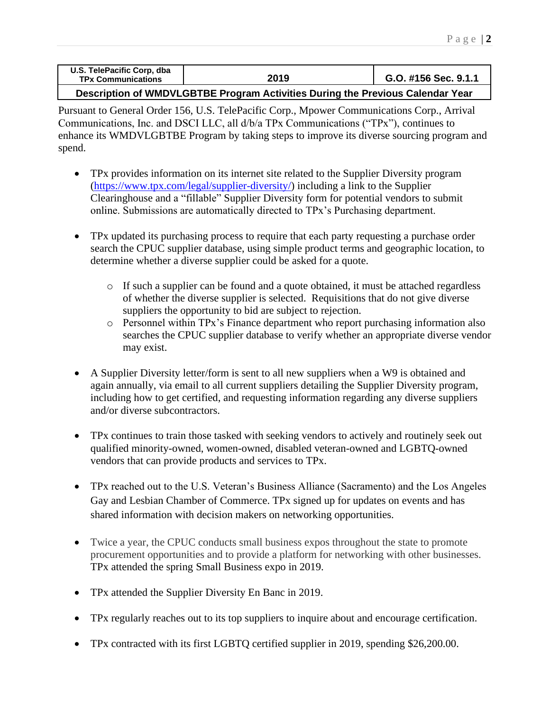| U.S. TelePacific Corp, dba<br><b>TPx Communications</b> | 2019 | G.O. #156 Sec. 9.1.1 |
|---------------------------------------------------------|------|----------------------|
|                                                         |      |                      |

## **Description of WMDVLGBTBE Program Activities During the Previous Calendar Year**

Pursuant to General Order 156, U.S. TelePacific Corp., Mpower Communications Corp., Arrival Communications, Inc. and DSCI LLC, all d/b/a TPx Communications ("TPx"), continues to enhance its WMDVLGBTBE Program by taking steps to improve its diverse sourcing program and spend.

- TPx provides information on its internet site related to the Supplier Diversity program [\(https://www.tpx.com/legal/supplier-diversity/\)](https://www.tpx.com/legal/supplier-diversity/) including a link to the Supplier Clearinghouse and a "fillable" Supplier Diversity form for potential vendors to submit online. Submissions are automatically directed to TPx's Purchasing department.
- TPx updated its purchasing process to require that each party requesting a purchase order search the CPUC supplier database, using simple product terms and geographic location, to determine whether a diverse supplier could be asked for a quote.
	- o If such a supplier can be found and a quote obtained, it must be attached regardless of whether the diverse supplier is selected. Requisitions that do not give diverse suppliers the opportunity to bid are subject to rejection.
	- o Personnel within TPx's Finance department who report purchasing information also searches the CPUC supplier database to verify whether an appropriate diverse vendor may exist.
- A Supplier Diversity letter/form is sent to all new suppliers when a W9 is obtained and again annually, via email to all current suppliers detailing the Supplier Diversity program, including how to get certified, and requesting information regarding any diverse suppliers and/or diverse subcontractors.
- TPx continues to train those tasked with seeking vendors to actively and routinely seek out qualified minority-owned, women-owned, disabled veteran-owned and LGBTQ-owned vendors that can provide products and services to TPx.
- TPx reached out to the U.S. Veteran's Business Alliance (Sacramento) and the Los Angeles Gay and Lesbian Chamber of Commerce. TPx signed up for updates on events and has shared information with decision makers on networking opportunities.
- Twice a year, the CPUC conducts small business expos throughout the state to promote procurement opportunities and to provide a platform for networking with other businesses. TPx attended the spring Small Business expo in 2019.
- TPx attended the Supplier Diversity En Banc in 2019.
- TPx regularly reaches out to its top suppliers to inquire about and encourage certification.
- TPx contracted with its first LGBTQ certified supplier in 2019, spending \$26,200.00.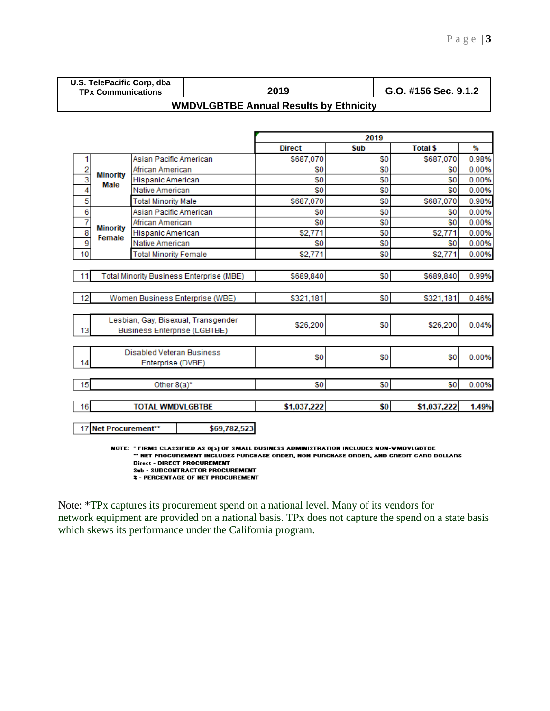**U.S. TelePacific Corp, dba** 

**TPx Communications 2019 G.O. #156 Sec. 9.1.2**

# **WMDVLGBTBE Annual Results by Ethnicity**

|                |                                          |                              |                                     |               | 2019      |                 |       |
|----------------|------------------------------------------|------------------------------|-------------------------------------|---------------|-----------|-----------------|-------|
|                |                                          |                              |                                     | <b>Direct</b> | Sub       | <b>Total \$</b> | %     |
| 1              |                                          | Asian Pacific American       |                                     | \$687,070     | \$0       | \$687,070       | 0.98% |
|                |                                          | African American             |                                     | \$0           | \$0       | \$0             | 0.00% |
| $\frac{2}{3}$  | <b>Minority</b><br><b>Male</b>           | Hispanic American            |                                     | \$0           | \$0       | \$0             | 0.00% |
| 4              |                                          | Native American              |                                     | \$0           | \$0       | \$0             | 0.00% |
| 5              |                                          | <b>Total Minority Male</b>   |                                     | \$687.070     | \$0       | \$687,070       | 0.98% |
| $\overline{6}$ |                                          | Asian Pacific American       |                                     | \$0           | \$0       | \$0             | 0.00% |
| ż              | <b>Minority</b>                          | African American             |                                     | \$0           | \$0       | \$0             | 0.00% |
| $\frac{8}{9}$  | Female                                   | Hispanic American            |                                     | \$2,771       | \$0       | \$2,771         | 0.00% |
|                |                                          | Native American              |                                     | \$0           | \$0       | \$0             | 0.00% |
| 10             |                                          | <b>Total Minority Female</b> |                                     | \$2,771       | \$0       | \$2,771         | 0.00% |
|                |                                          |                              |                                     |               |           |                 |       |
| 11             | Total Minority Business Enterprise (MBE) |                              | \$689,840                           | \$0           | \$689,840 | 0.99%           |       |
|                |                                          |                              |                                     |               |           |                 |       |
| 12             |                                          |                              | Women Business Enterprise (WBE)     | \$321,181     | \$0       | \$321,181       | 0.46% |
|                |                                          |                              |                                     |               |           |                 |       |
|                |                                          |                              | Lesbian, Gay, Bisexual, Transgender |               |           |                 |       |
| 13             |                                          |                              | <b>Business Enterprise (LGBTBE)</b> | \$26,200      | \$0       | \$26,200        | 0.04% |
|                |                                          |                              |                                     |               |           |                 |       |
|                |                                          | Disabled Veteran Business    |                                     |               |           |                 |       |
| 14             |                                          | Enterprise (DVBE)            |                                     | \$0           | \$0       | \$0             | 0.00% |
|                |                                          |                              |                                     |               |           |                 |       |
| 15             |                                          | Other $8(a)^*$               |                                     | \$0           | \$0       | \$0             | 0.00% |
|                |                                          |                              |                                     |               |           |                 |       |
| 16             |                                          | <b>TOTAL WMDVLGBTBE</b>      |                                     | \$1,037,222   | \$0       | \$1,037,222     | 1.49% |
|                |                                          |                              |                                     |               |           |                 |       |
| 17             | Net Procurement**                        |                              | \$69,782,523                        |               |           |                 |       |

NOTE: "FIRMS CLASSIFIED AS 8(a) OF SMALL BUSINESS ADMINISTRATION INCLUDES NON-WMDYLGBTBE \*\* NET PROCUREMENT INCLUDES PURCHASE ORDER, NON-PURCHASE ORDER, AND CREDIT CARD DOLLARS **Direct - DIRECT PROCUREMENT** Sub - SUBCONTRACTOR PROCUREMENT

**2 - PERCENTAGE OF NET PROCUREMENT** 

Note: \*TPx captures its procurement spend on a national level. Many of its vendors for network equipment are provided on a national basis. TPx does not capture the spend on a state basis which skews its performance under the California program.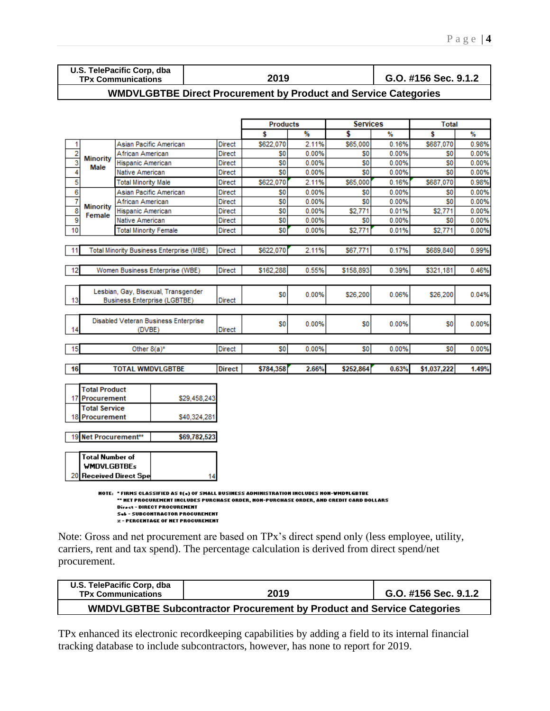| U.S. TelePacific Corp, dba |  |
|----------------------------|--|
| <b>TPy Communications</b>  |  |

**TPx Communications 2019 G.O. #156 Sec. 9.1.2**

#### **WMDVLGBTBE Direct Procurement by Product and Service Categories**

|                                      |                           |                                                                                                                                                                                    |               | <b>Products</b> |       | <b>Services</b> |       | <b>Total</b>   |       |
|--------------------------------------|---------------------------|------------------------------------------------------------------------------------------------------------------------------------------------------------------------------------|---------------|-----------------|-------|-----------------|-------|----------------|-------|
|                                      |                           |                                                                                                                                                                                    |               | Ŝ               | ₩     | \$              | %     | s              | ₩     |
| 1                                    |                           | Asian Pacific American                                                                                                                                                             | <b>Direct</b> | \$622,070       | 2.11% | \$65,000        | 0.16% | \$687,070      | 0.98% |
| 2                                    |                           | African American                                                                                                                                                                   | <b>Direct</b> | S0              | 0.00% | S <sub>0</sub>  | 0.00% | S <sub>0</sub> | 0.00% |
| 3                                    | <b>Minority</b><br>Male   | Hispanic American                                                                                                                                                                  | Direct        | S0              | 0.00% | \$O             | 0.00% | S <sub>0</sub> | 0.00% |
| 4                                    |                           | Native American                                                                                                                                                                    | Direct        | S <sub>0</sub>  | 0.00% | S0              | 0.00% | S <sub>0</sub> | 0.00% |
| 5                                    |                           | <b>Total Minority Male</b>                                                                                                                                                         | Direct        | \$622,070       | 2.11% | \$65,000        | 0.16% | \$687,070      | 0.98% |
| 6                                    |                           | Asian Pacific American                                                                                                                                                             | Direct        | S <sub>0</sub>  | 0.00% | S <sub>0</sub>  | 0.00% | S <sub>0</sub> | 0.00% |
| 7                                    |                           | African American                                                                                                                                                                   | Direct        | S <sub>0</sub>  | 0.00% | S <sub>0</sub>  | 0.00% | S <sub>0</sub> | 0.00% |
| $\overline{\overline{\overline{8}}}$ | <b>Minority</b><br>Female | Hispanic American                                                                                                                                                                  | Direct        | S <sub>0</sub>  | 0.00% | \$2,771         | 0.01% | \$2,771        | 0.00% |
| $\overline{9}$                       |                           | Native American                                                                                                                                                                    | Direct        | S <sub>0</sub>  | 0.00% | S0              | 0.00% | S <sub>0</sub> | 0.00% |
| 10                                   |                           | <b>Total Minority Female</b>                                                                                                                                                       | <b>Direct</b> | SO              | 0.00% | \$2,771         | 0.01% | \$2,771        | 0.00% |
|                                      |                           |                                                                                                                                                                                    |               |                 |       |                 |       |                |       |
| 11                                   |                           | <b>Total Minority Business Enterprise (MBE)</b>                                                                                                                                    | <b>Direct</b> | \$622,070       | 2.11% | \$67,771        | 0.17% | \$689,840      | 0.99% |
|                                      |                           |                                                                                                                                                                                    |               |                 |       |                 |       |                |       |
| 12                                   |                           | Women Business Enterprise (WBE)                                                                                                                                                    | <b>Direct</b> | \$162,288       | 0.55% | \$158,893       | 0.39% | \$321,181      | 0.46% |
|                                      |                           |                                                                                                                                                                                    |               |                 |       |                 |       |                |       |
|                                      |                           | Lesbian, Gay, Bisexual, Transgender                                                                                                                                                |               | SO              | 0.00% |                 | 0.06% |                |       |
| 13                                   |                           | <b>Business Enterprise (LGBTBE)</b>                                                                                                                                                | <b>Direct</b> |                 |       | \$26,200        |       | \$26,200       | 0.04% |
|                                      |                           |                                                                                                                                                                                    |               |                 |       |                 |       |                |       |
|                                      |                           | Disabled Veteran Business Enterprise                                                                                                                                               |               | S <sub>0</sub>  | 0.00% | S <sub>0</sub>  | 0.00% | S <sub>0</sub> | 0.00% |
| 14                                   |                           | (DVBE)                                                                                                                                                                             | <b>Direct</b> |                 |       |                 |       |                |       |
|                                      |                           |                                                                                                                                                                                    |               |                 |       |                 |       |                |       |
| 15                                   |                           | Other $8(a)^*$                                                                                                                                                                     | Direct        | S0              | 0.00% | S <sub>0</sub>  | 0.00% | \$0            | 0.00% |
|                                      |                           |                                                                                                                                                                                    |               |                 |       |                 |       |                |       |
| 16                                   |                           | <b>TOTAL WMDVLGBTBE</b>                                                                                                                                                            | <b>Direct</b> | \$784,358       | 2.66% | \$252,864       | 0.63% | \$1,037,222    | 1.49% |
|                                      |                           |                                                                                                                                                                                    |               |                 |       |                 |       |                |       |
|                                      | <b>Total Product</b>      |                                                                                                                                                                                    |               |                 |       |                 |       |                |       |
|                                      | 17 Procurement            |                                                                                                                                                                                    | \$29,458,243  |                 |       |                 |       |                |       |
|                                      | <b>Total Service</b>      |                                                                                                                                                                                    |               |                 |       |                 |       |                |       |
| 18                                   | Procurement               |                                                                                                                                                                                    | \$40,324,281  |                 |       |                 |       |                |       |
|                                      |                           |                                                                                                                                                                                    |               |                 |       |                 |       |                |       |
|                                      | 19 Net Procurement**      |                                                                                                                                                                                    | \$69,782,523  |                 |       |                 |       |                |       |
|                                      |                           |                                                                                                                                                                                    |               |                 |       |                 |       |                |       |
|                                      | <b>Total Number of</b>    |                                                                                                                                                                                    |               |                 |       |                 |       |                |       |
|                                      | <b>WMDVLGBTBEs</b>        |                                                                                                                                                                                    |               |                 |       |                 |       |                |       |
|                                      |                           | 20 Received Direct Spe                                                                                                                                                             | 14            |                 |       |                 |       |                |       |
|                                      |                           |                                                                                                                                                                                    |               |                 |       |                 |       |                |       |
|                                      |                           | NOTE: "FIRMS CLASSIFIED AS #(«) OF SMALL BUSINESS ADMINISTRATION INCLUDES NON-WMDYLGBTBE<br>" MET PROCUREMENT INCLUDES PURCHASE ORDER, NON-PURCHASE ORDER, AND CREDIT CARD DOLLARS |               |                 |       |                 |       |                |       |
|                                      |                           | Direct - DIRECT PROCUREMENT                                                                                                                                                        |               |                 |       |                 |       |                |       |

**Sel - SUBCONTRACTOR PROCUREMENT z** - PERCENTAGE OF NET PROCUREMENT

Note: Gross and net procurement are based on TPx's direct spend only (less employee, utility, carriers, rent and tax spend). The percentage calculation is derived from direct spend/net procurement.

| U.S. TelePacific Corp, dba<br><b>TPx Communications</b>                       | 2019 | G.O. #156 Sec. 9.1.2 |  |  |  |
|-------------------------------------------------------------------------------|------|----------------------|--|--|--|
| <b>WMDVLGBTBE Subcontractor Procurement by Product and Service Categories</b> |      |                      |  |  |  |

TPx enhanced its electronic recordkeeping capabilities by adding a field to its internal financial tracking database to include subcontractors, however, has none to report for 2019.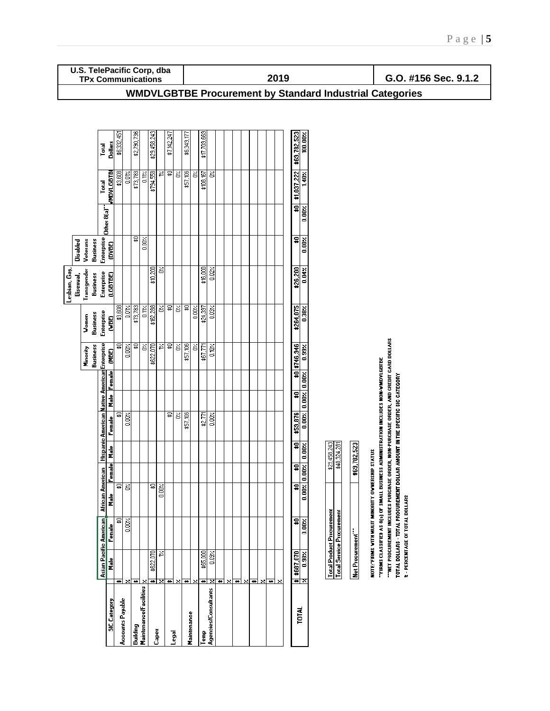| U.S. TelePacific Corp, dba<br><b>TPx Communications</b>                                                              | 2019                                                                                                                                                                                                                                                                                                                                                                                                                                                                                                                  | G.O. #156 Sec. 9.1.2                                                                                                      |
|----------------------------------------------------------------------------------------------------------------------|-----------------------------------------------------------------------------------------------------------------------------------------------------------------------------------------------------------------------------------------------------------------------------------------------------------------------------------------------------------------------------------------------------------------------------------------------------------------------------------------------------------------------|---------------------------------------------------------------------------------------------------------------------------|
|                                                                                                                      | <b>WMDVLGBTBE Procurement by Standard Industrial Categories</b>                                                                                                                                                                                                                                                                                                                                                                                                                                                       |                                                                                                                           |
|                                                                                                                      |                                                                                                                                                                                                                                                                                                                                                                                                                                                                                                                       |                                                                                                                           |
| \$2,790,736<br>\$29,458,243<br>\$7,142,247<br>\$6,332,451<br>Dollars<br>Total                                        | \$17,709,669<br>\$69,782,523<br>\$6,349,177<br>100.00%                                                                                                                                                                                                                                                                                                                                                                                                                                                                |                                                                                                                           |
| \$794,558<br>휵<br>\$3,608<br>\$73,783<br><b>MDVLGBTBI</b><br>ž,<br>0.11<br>0.01<br>Total                             | \$1,037,222<br>\$57,106<br>ੇਂ<br>\$108,167<br>š<br>$1.40\times$<br>š                                                                                                                                                                                                                                                                                                                                                                                                                                                  |                                                                                                                           |
| Other 8(a)                                                                                                           | $\overline{\mathbf{a}}$<br>$0.00 \times$                                                                                                                                                                                                                                                                                                                                                                                                                                                                              |                                                                                                                           |
| Enterprise<br>뮳<br>$\frac{1}{200}$<br>Business<br>Veterans<br>Disabled<br>(DVBE)                                     | $\overline{\mathbf{a}}$<br>0.00%                                                                                                                                                                                                                                                                                                                                                                                                                                                                                      |                                                                                                                           |
| \$10,200<br>Š<br>Lesbian, Gay,<br>Transgender<br>Enterprise<br>(LGBTBE)<br>Business<br>Bisexual,                     | \$26,200<br>\$16,000<br>$0.02 \times$<br>$0.04$ %                                                                                                                                                                                                                                                                                                                                                                                                                                                                     |                                                                                                                           |
| $\frac{1}{2}$<br>\$3,608<br>\$73,783<br>\$162,288<br>δ,<br>0.012<br>0.11<br>Enterprise<br>Business<br>Women<br>(MBE) | 뮿<br>\$264,075<br>δ,<br>0.00%<br>\$24,397<br>0.03%<br>$0.38$ %                                                                                                                                                                                                                                                                                                                                                                                                                                                        |                                                                                                                           |
| ₽<br>圖<br>\$622,070<br>革<br>ত্ন<br>S<br>0.00%<br><b>Business</b><br>Minority<br>(MBE)                                | \$57,106<br>\$0 \$746,946<br>ह<br>S<br>\$67,771<br>$\frac{1}{2}$<br>0.99%                                                                                                                                                                                                                                                                                                                                                                                                                                             | "HET PROCUREMENT INCLUDES PURCHASE ORDER, NON-PURCHASE ORDER, AND CREDIT CARD DOLLARS                                     |
| <b>Male</b> Female                                                                                                   | $0.00 \times$<br>$\overline{\mathbf{a}}$<br>$\frac{1}{2}$                                                                                                                                                                                                                                                                                                                                                                                                                                                             |                                                                                                                           |
| Hispanic American Native American Enterprise<br>₽<br>≅<br>0.00%<br>Female                                            | \$59,876<br>0.00%<br>\$57,106<br>Š<br>\$2,771<br>$0.00%$                                                                                                                                                                                                                                                                                                                                                                                                                                                              | "FIRMS CLASSIFIED AS 8(3) OF SMALL BUSINESS ADMINISTRATION INCLUDES NON-WMDYLGBTBE<br>AMOUNT IN THE SPECIFIC SIC CATEGORY |
| Male<br>ब                                                                                                            | 日<br>\$29,458,243<br>782,523<br>0.002<br>\$40,324,28<br>뭐                                                                                                                                                                                                                                                                                                                                                                                                                                                             |                                                                                                                           |
| Femal<br>Asian Pacific American African American<br>ত্ত<br>뮿<br>Σ<br>0.00%<br>n<br>E                                 | NOTE: FIRMS VITH MULIT MINORITY OVNERSHIP STATUS<br>$0.00z$ 0.00%<br>¥8<br>#                                                                                                                                                                                                                                                                                                                                                                                                                                          | TOTAL DOLLARS - TOTAL PROCUREMENT DOLLAR                                                                                  |
| 뮳<br>$\frac{1}{2}$                                                                                                   | ∓<br>0.00%                                                                                                                                                                                                                                                                                                                                                                                                                                                                                                            |                                                                                                                           |
| Female<br>Ļ,                                                                                                         | <b>Total Product Procurement</b><br><b>Total Service Procurement</b><br>Net Procurement"<br>0.09%                                                                                                                                                                                                                                                                                                                                                                                                                     | 2 - PERCENTAGE OF TOTAL DOLLARS                                                                                           |
| \$622,070<br>Male<br><u>ন ১০ ১</u>                                                                                   | $\begin{array}{ c c }\n\hline\n\text{#} & \text{#} & \text{#} & \text{#} \\ \hline\n\text{#} & \text{#} & \text{#} & \text{#} \\ \hline\n\text{#} & \text{#} & \text{#} & \text{#} \\ \hline\n\text{#} & \text{#} & \text{#} & \text{#} \\ \hline\n\text{#} & \text{#} & \text{#} & \text{#} & \text{#} \\ \hline\n\text{#} & \text{#} & \text{#} & \text{#} & \text{#} \\ \hline\n\text{#} & \text{#} & \text{#} & \text{#} &$<br>\$65,000<br>ভা×া<br><u>নামানাম</u><br>ন×<br><u>নাম</u><br>₩<br>ভা×<br>$\mathbb{N}$ |                                                                                                                           |
| Maintenance/Facilities<br>Accounts Payable<br><b>SIC</b> Category<br>Building<br>Capex                               | Agencies/Consultants<br><b>TOTAL</b><br>Maintenance<br>Legal<br>Temp                                                                                                                                                                                                                                                                                                                                                                                                                                                  |                                                                                                                           |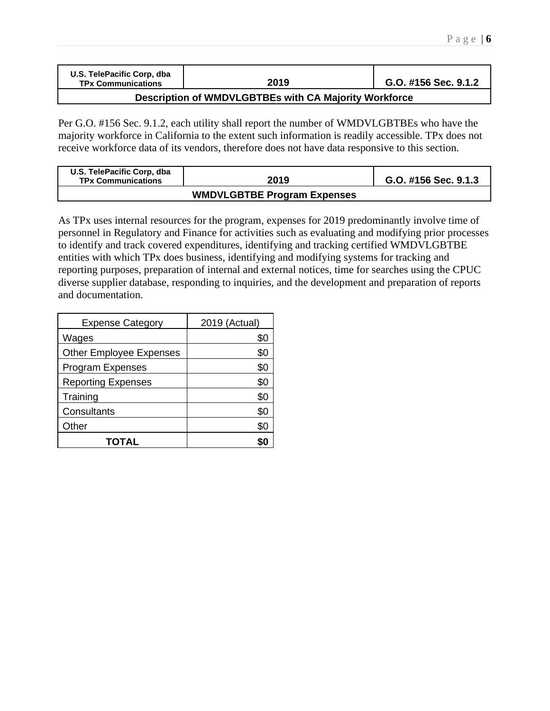| U.S. TelePacific Corp. dba<br><b>TPx Communications</b> | 2019 | G.O. #156 Sec. 9.1.2 |  |  |  |  |
|---------------------------------------------------------|------|----------------------|--|--|--|--|
| Description of WMDVLGBTBEs with CA Majority Workforce   |      |                      |  |  |  |  |

Per G.O. #156 Sec. 9.1.2, each utility shall report the number of WMDVLGBTBEs who have the majority workforce in California to the extent such information is readily accessible. TPx does not receive workforce data of its vendors, therefore does not have data responsive to this section.

| U.S. TelePacific Corp, dba<br><b>TPx Communications</b> | 2019 | G.O. #156 Sec. 9.1.3 |
|---------------------------------------------------------|------|----------------------|
|                                                         |      |                      |

As TPx uses internal resources for the program, expenses for 2019 predominantly involve time of personnel in Regulatory and Finance for activities such as evaluating and modifying prior processes to identify and track covered expenditures, identifying and tracking certified WMDVLGBTBE entities with which TPx does business, identifying and modifying systems for tracking and reporting purposes, preparation of internal and external notices, time for searches using the CPUC diverse supplier database, responding to inquiries, and the development and preparation of reports and documentation.

| <b>Expense Category</b>        | 2019 (Actual) |
|--------------------------------|---------------|
| Wages                          | \$0           |
| <b>Other Employee Expenses</b> | \$0           |
| <b>Program Expenses</b>        | \$0           |
| <b>Reporting Expenses</b>      | \$0           |
| Training                       | \$0           |
| Consultants                    | \$0           |
| Other                          | \$0           |
| TOTAL                          |               |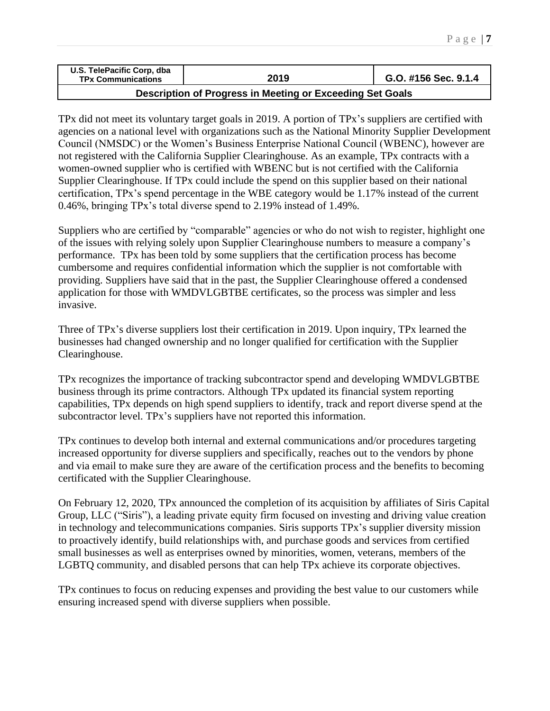| U.S. TelePacific Corp, dba<br><b>TPx Communications</b> | 2019 | G.O. #156 Sec. 9.1.4 |
|---------------------------------------------------------|------|----------------------|
|                                                         |      |                      |

### **Description of Progress in Meeting or Exceeding Set Goals**

TPx did not meet its voluntary target goals in 2019. A portion of TPx's suppliers are certified with agencies on a national level with organizations such as the National Minority Supplier Development Council (NMSDC) or the Women's Business Enterprise National Council (WBENC), however are not registered with the California Supplier Clearinghouse. As an example, TPx contracts with a women-owned supplier who is certified with WBENC but is not certified with the California Supplier Clearinghouse. If TPx could include the spend on this supplier based on their national certification, TPx's spend percentage in the WBE category would be 1.17% instead of the current 0.46%, bringing TPx's total diverse spend to 2.19% instead of 1.49%.

Suppliers who are certified by "comparable" agencies or who do not wish to register, highlight one of the issues with relying solely upon Supplier Clearinghouse numbers to measure a company's performance. TPx has been told by some suppliers that the certification process has become cumbersome and requires confidential information which the supplier is not comfortable with providing. Suppliers have said that in the past, the Supplier Clearinghouse offered a condensed application for those with WMDVLGBTBE certificates, so the process was simpler and less invasive.

Three of TPx's diverse suppliers lost their certification in 2019. Upon inquiry, TPx learned the businesses had changed ownership and no longer qualified for certification with the Supplier Clearinghouse.

TPx recognizes the importance of tracking subcontractor spend and developing WMDVLGBTBE business through its prime contractors. Although TPx updated its financial system reporting capabilities, TPx depends on high spend suppliers to identify, track and report diverse spend at the subcontractor level. TPx's suppliers have not reported this information.

TPx continues to develop both internal and external communications and/or procedures targeting increased opportunity for diverse suppliers and specifically, reaches out to the vendors by phone and via email to make sure they are aware of the certification process and the benefits to becoming certificated with the Supplier Clearinghouse.

On February 12, 2020, TPx announced the completion of its acquisition by affiliates of Siris [Capital](https://siris.com/) [Group,](https://siris.com/) LLC ("Siris"), a leading private equity firm focused on investing and driving value creation in technology and telecommunications companies. Siris supports TPx's supplier diversity mission to proactively identify, build relationships with, and purchase goods and services from certified small businesses as well as enterprises owned by minorities, women, veterans, members of the LGBTQ community, and disabled persons that can help TPx achieve its corporate objectives.

TPx continues to focus on reducing expenses and providing the best value to our customers while ensuring increased spend with diverse suppliers when possible.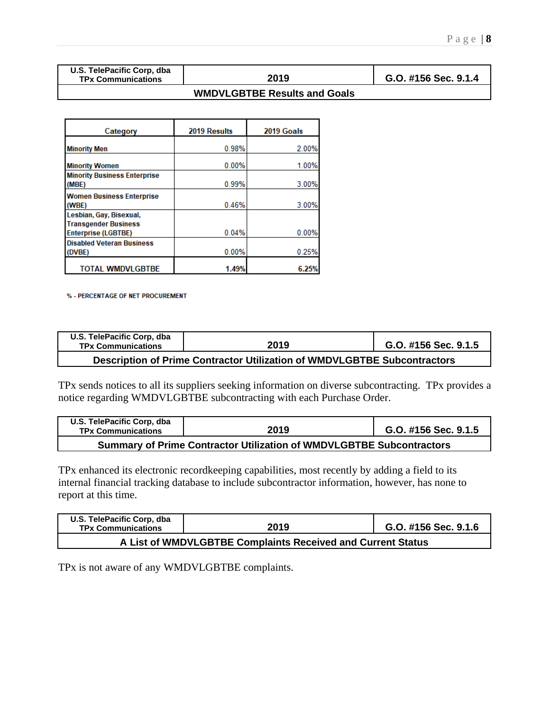|  |  |                           | U.S. TelePacific Corp, dba |  |
|--|--|---------------------------|----------------------------|--|
|  |  | <b>TPx Communications</b> |                            |  |

**TPx Communications 2019 G.O. #156 Sec. 9.1.4**

#### **WMDVLGBTBE Results and Goals**

| Category                                                  | 2019 Results | 2019 Goals |
|-----------------------------------------------------------|--------------|------------|
| <b>Minority Men</b>                                       | 0.98%        | 2.00%      |
| <b>Minority Women</b>                                     | 0.00%        | 1.00%      |
| <b>Minority Business Enterprise</b><br>(MBE)              | 0.99%        | 3.00%      |
| <b>Women Business Enterprise</b>                          |              |            |
| (WBE)<br>Lesbian, Gay, Bisexual,                          | 0.46%        | 3.00%      |
| <b>Transgender Business</b><br><b>Enterprise (LGBTBE)</b> | 0.04%        | 0.00%      |
| <b>Disabled Veteran Business</b><br>(DVBE)                | 0.00%        | 0.25%      |
| <b>TOTAL WMDVLGBTBE</b>                                   | 1.49%        | 6.25%      |

% - PERCENTAGE OF NET PROCUREMENT

| U.S. TelePacific Corp, dba<br><b>TPx Communications</b>                  | 2019 | G.O. #156 Sec. 9.1.5 |  |  |  |  |
|--------------------------------------------------------------------------|------|----------------------|--|--|--|--|
| Description of Prime Contractor Utilization of WMDVLGBTBE Subcontractors |      |                      |  |  |  |  |

TPx sends notices to all its suppliers seeking information on diverse subcontracting. TPx provides a notice regarding WMDVLGBTBE subcontracting with each Purchase Order.

| U.S. TelePacific Corp. dba<br><b>TPx Communications</b>                     | 2019 | G.O. #156 Sec. 9.1.5 |  |  |  |  |  |
|-----------------------------------------------------------------------------|------|----------------------|--|--|--|--|--|
| <b>Summary of Prime Contractor Utilization of WMDVLGBTBE Subcontractors</b> |      |                      |  |  |  |  |  |

TPx enhanced its electronic recordkeeping capabilities, most recently by adding a field to its internal financial tracking database to include subcontractor information, however, has none to report at this time.

| U.S. TelePacific Corp. dba<br><b>TPx Communications</b>     | 2019 | G.O. #156 Sec. 9.1.6 |  |  |  |  |
|-------------------------------------------------------------|------|----------------------|--|--|--|--|
| A List of WMDVLGBTBE Complaints Received and Current Status |      |                      |  |  |  |  |

TPx is not aware of any WMDVLGBTBE complaints.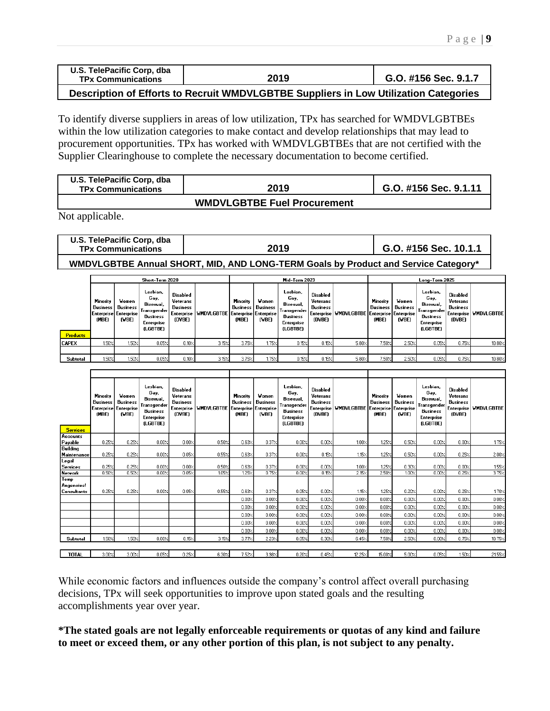| U.S. TelePacific Corp, dba<br><b>TPx Communications</b> | 2019 | G.O. #156 Sec. 9.1.7 |
|---------------------------------------------------------|------|----------------------|
|                                                         |      | ------               |

**Description of Efforts to Recruit WMDVLGBTBE Suppliers in Low Utilization Categories**

To identify diverse suppliers in areas of low utilization, TPx has searched for WMDVLGBTBEs within the low utilization categories to make contact and develop relationships that may lead to procurement opportunities. TPx has worked with WMDVLGBTBEs that are not certified with the Supplier Clearinghouse to complete the necessary documentation to become certified.

| U.S. TelePacific Corp, dba<br><b>TPx Communications</b> | 2019 | G.O. #156 Sec. 9.1.11 |
|---------------------------------------------------------|------|-----------------------|
|                                                         |      |                       |

**WMDVLGBTBE Fuel Procurement**

Not applicable.

| U.S. TelePacific Corp, dba<br><b>TPx Communications</b> | 2019 | G.O. #156 Sec. 10.1.1 |
|---------------------------------------------------------|------|-----------------------|
|                                                         |      |                       |

**WMDVLGBTBE Annual SHORT, MID, AND LONG-TERM Goals by Product and Service Category\***

|                 | Short-Term 2020                                                   |                            |                                                                                            |                                                                        |                                  | Mid-Term 2023                 |                            |                                                                                             |                                                   | Long-Term 2025                                    |                               |                                   |                                                                                             |                                                   |                         |
|-----------------|-------------------------------------------------------------------|----------------------------|--------------------------------------------------------------------------------------------|------------------------------------------------------------------------|----------------------------------|-------------------------------|----------------------------|---------------------------------------------------------------------------------------------|---------------------------------------------------|---------------------------------------------------|-------------------------------|-----------------------------------|---------------------------------------------------------------------------------------------|---------------------------------------------------|-------------------------|
|                 | Minority<br><b>Business</b> I<br>Enterprise   Enterprise<br>(MBE) | Women<br>Business<br>(VBE) | Lesbian,<br>Gay,<br>Bisexual,<br>Transgender!<br>Business<br><b>Enterprise</b><br>(LGBTBE) | Disabled<br>Veterans<br><b>Business</b><br><b>Enterprise</b><br>(DVBE) | WMDVLGBTBE Enterprise Enterprise | Minority<br>Business<br>(MBE) | Women<br>Business<br>(VBE) | Lesbian,<br>Gay,<br>Bisexual.<br>Transgender  <br><b>Business</b><br>Enterprise<br>(LGBTBE) | Disabled<br>Veterans<br><b>Business</b><br>(DVBE) | Enterprise   WMDVLGBTBE   Enterprise   Enterprise | Minority<br>Business<br>(MBE) | <b>Women</b><br>Business<br>(VBE) | Lesbian,<br>Gay,<br>Bisexual.<br>Transgender  <br>Business<br><b>Enterprise</b><br>(LGBTBE) | Disabled<br>Veterans<br><b>Business</b><br>(DVBE) | Enterprise   WMDVLGBTBE |
| <b>Products</b> |                                                                   |                            |                                                                                            |                                                                        |                                  |                               |                            |                                                                                             |                                                   |                                                   |                               |                                   |                                                                                             |                                                   |                         |
| <b>CAPEX</b>    | 1.50%                                                             | 1.50%                      | 0.05%                                                                                      | 0.10%                                                                  | 3.15%                            | 3.75%                         | 1.75%                      | $0.15 \times$                                                                               | 0.15%                                             | 5.80%                                             | 7.50%                         | 2.50%                             | 0.05%                                                                                       | 0.75%                                             | 10.80%                  |
|                 |                                                                   |                            |                                                                                            |                                                                        |                                  |                               |                            |                                                                                             |                                                   |                                                   |                               |                                   |                                                                                             |                                                   |                         |
| Subtotal        | 1.50%                                                             | 1.50%                      | 0.05%                                                                                      | 0.10%                                                                  | 3.15%                            | 3.75%                         | 1.75%                      | $0.15\times$                                                                                | 0.15%                                             | 5.80%                                             | 7.50%                         | 2.50%                             | 0.05%                                                                                       | 0.75%                                             | $10.80\times$           |

| <b>Services</b>                  | Minority<br><b>Business</b><br><b>Enterprise</b><br>(MBE) | Women<br><b>Business</b><br><b>Enterprise</b><br>(VBE) | Lesbian.<br>Gay,<br>Bisexual,<br>Transgender<br><b>Business</b><br><b>Enterprise</b><br>(LGBTBE) | <b>Disabled</b><br>Veterans<br><b>Business</b><br><b>Enterprise</b><br>(DVBE) | <b>WHOVLGBTBE</b> | Minority<br><b>Business</b><br>(MBE) | Women<br><b>Business</b><br>Enterprise Enterprise<br>(VBE) | Lesbian.<br>Gay,<br>Bisexual,<br>Transgender<br><b>Business</b><br><b>Enterprise</b><br><b>(LGBTBE)</b> | <b>Disabled</b><br>Veterans<br><b>Business</b><br><b>Enterprise</b><br>(DVBE) | <b>WMDVLGBTBE</b> | Minority<br><b>Business</b><br>(MBE) | Women<br><b>Business</b><br>Enterprise Enterprise<br>(VBE) | Lesbian,<br>Gay,<br>Bisexual,<br>Transgender<br>Business<br><b>Enterprise</b><br>(LGBTBE) | <b>Disabled</b><br>Veterans<br><b>Business</b><br>(DVBE) | Enterprise WMDVLGBTBE |
|----------------------------------|-----------------------------------------------------------|--------------------------------------------------------|--------------------------------------------------------------------------------------------------|-------------------------------------------------------------------------------|-------------------|--------------------------------------|------------------------------------------------------------|---------------------------------------------------------------------------------------------------------|-------------------------------------------------------------------------------|-------------------|--------------------------------------|------------------------------------------------------------|-------------------------------------------------------------------------------------------|----------------------------------------------------------|-----------------------|
| Accounts                         |                                                           |                                                        |                                                                                                  |                                                                               |                   |                                      |                                                            |                                                                                                         |                                                                               |                   |                                      |                                                            |                                                                                           |                                                          |                       |
| Payable                          | 0.25%                                                     | 0.25/                                                  | 0.00%                                                                                            | 0.00%                                                                         | 0.50%             | 0.63/                                | 0.372                                                      | 0.00%                                                                                                   | 0.00%                                                                         | $1.00\%$          | 1.25%                                | 0.50%                                                      | 0.00%                                                                                     | 0.00%                                                    | 1.75%                 |
| Building<br>Maintenance          | 0.25%                                                     | 0.257                                                  | 0.00%                                                                                            | $0.05\%$                                                                      | 0.55%             | 0.63%                                | 0.372                                                      | 0.00%                                                                                                   | 0.15%                                                                         | $1.15\times$      | 1.25%                                | 0.50%                                                      | 0.00%                                                                                     | 0.25%                                                    | 2.00%                 |
| Legal<br><b>Services</b>         | 0.25%                                                     | 0.25/                                                  | 0.002                                                                                            | 0.00%                                                                         | 0.50%             | 0.63%                                | $0.37\times$                                               | 0.00%                                                                                                   | 0.00%                                                                         | $1.00\%$          | 1.25%                                | 0.30%                                                      | 0.00%                                                                                     | 0.00%                                                    | 1.55%                 |
| <b>Network</b>                   | 0.50%                                                     | 0.50<                                                  | 0.00%                                                                                            | 0.05%                                                                         | 105 <sub>7</sub>  | 1.25%                                | 0.75%                                                      | 0.00%                                                                                                   | 0.157                                                                         | 2.15%             | 2.50%                                | 100 <sub>7</sub>                                           | 0.00%                                                                                     | 0.25%                                                    | 3.75%                 |
| Temp<br>Angencies<br>Consultants | 0.25%                                                     | 0.25/                                                  | 0.00%                                                                                            | 0.05%                                                                         | 0.55%             | 0.63%                                | 0.37%                                                      | 0.05%                                                                                                   | 0.00%                                                                         | 1.15%             | 1.25%                                | 0.20%                                                      | 0.00%                                                                                     | 0.25%                                                    | 1.70%                 |
|                                  |                                                           |                                                        |                                                                                                  |                                                                               |                   | 0.00%                                | 0.00%                                                      | 0.00%                                                                                                   | 0.00%                                                                         | 0.00%             | 0.00%                                | 0.00%                                                      | 0.00%                                                                                     | 0.00%                                                    | 0.00%                 |
|                                  |                                                           |                                                        |                                                                                                  |                                                                               |                   | 0.00%                                | 0.00%                                                      | 0.00%                                                                                                   | 0.00%                                                                         | 0.00%             | 0.00%                                | 0.00%                                                      | 0.00%                                                                                     | 0.00%                                                    | 0.00%                 |
|                                  |                                                           |                                                        |                                                                                                  |                                                                               |                   | 0.00%                                | 0.00%                                                      | 0.00%                                                                                                   | 0.00%                                                                         | 0.00%             | 0.00%                                | 0.00%                                                      | 0.00%                                                                                     | 0.00%                                                    | 0.00%                 |
|                                  |                                                           |                                                        |                                                                                                  |                                                                               |                   | 0.002                                | 0.00%                                                      | 0.00%                                                                                                   | 0.00%                                                                         | 0.00%             | 0.00%                                | 0.00%                                                      | 0.00%                                                                                     | 0.00%                                                    | 0.00%                 |
|                                  |                                                           |                                                        |                                                                                                  |                                                                               |                   | 0.00%                                | 0.00%                                                      | 0.00%                                                                                                   | 0.00%                                                                         | 0.00%             | 0.00%                                | 0.00%                                                      | 0.00%                                                                                     | 0.00%                                                    | 0.00%                 |
| Subtotal                         | 1.50%                                                     | 1.50%                                                  | 0.00%                                                                                            | 0.15%                                                                         | 3.15%             | 3.77%                                | 2.23%                                                      | 0.05%                                                                                                   | 0.30%                                                                         | 6.45%             | 7.50%                                | 2.50%                                                      | 0.00%                                                                                     | $0.75$ %                                                 | $10.75\times$         |
|                                  |                                                           |                                                        |                                                                                                  |                                                                               |                   |                                      |                                                            |                                                                                                         |                                                                               |                   |                                      |                                                            |                                                                                           |                                                          |                       |
| <b>TOTAL</b>                     | $3.00$ $\times$                                           | 3.00%                                                  | 0.05%                                                                                            | 0.25%                                                                         | 6.30%             | 7.52%                                | 3.98 <sub>7</sub>                                          | 0.20%                                                                                                   | 0.45%                                                                         | 12.25%            | 15.00%                               | 5.00%                                                      | 0.05%                                                                                     | 150Z                                                     | 21.55%                |

While economic factors and influences outside the company's control affect overall purchasing decisions, TPx will seek opportunities to improve upon stated goals and the resulting accomplishments year over year.

**\*The stated goals are not legally enforceable requirements or quotas of any kind and failure to meet or exceed them, or any other portion of this plan, is not subject to any penalty.**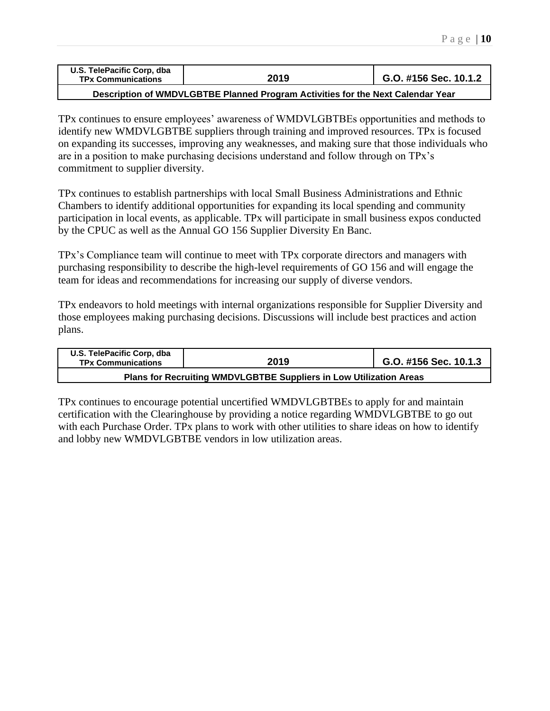| U.S. TelePacific Corp, dba<br><b>TPx Communications</b> | 2019 | G.O. #156 Sec. 10.1.2 |
|---------------------------------------------------------|------|-----------------------|
|                                                         |      |                       |

**Description of WMDVLGBTBE Planned Program Activities for the Next Calendar Year**

TPx continues to ensure employees' awareness of WMDVLGBTBEs opportunities and methods to identify new WMDVLGBTBE suppliers through training and improved resources. TPx is focused on expanding its successes, improving any weaknesses, and making sure that those individuals who are in a position to make purchasing decisions understand and follow through on TPx's commitment to supplier diversity.

TPx continues to establish partnerships with local Small Business Administrations and Ethnic Chambers to identify additional opportunities for expanding its local spending and community participation in local events, as applicable. TPx will participate in small business expos conducted by the CPUC as well as the Annual GO 156 Supplier Diversity En Banc.

TPx's Compliance team will continue to meet with TPx corporate directors and managers with purchasing responsibility to describe the high-level requirements of GO 156 and will engage the team for ideas and recommendations for increasing our supply of diverse vendors.

TPx endeavors to hold meetings with internal organizations responsible for Supplier Diversity and those employees making purchasing decisions. Discussions will include best practices and action plans.

| U.S. TelePacific Corp, dba<br><b>TPx Communications</b>            | 2019 | G.O. #156 Sec. 10.1.3 |  |  |  |  |
|--------------------------------------------------------------------|------|-----------------------|--|--|--|--|
| Plans for Recruiting WMDVLGBTBE Suppliers in Low Utilization Areas |      |                       |  |  |  |  |

TPx continues to encourage potential uncertified WMDVLGBTBEs to apply for and maintain certification with the Clearinghouse by providing a notice regarding WMDVLGBTBE to go out with each Purchase Order. TPx plans to work with other utilities to share ideas on how to identify and lobby new WMDVLGBTBE vendors in low utilization areas.